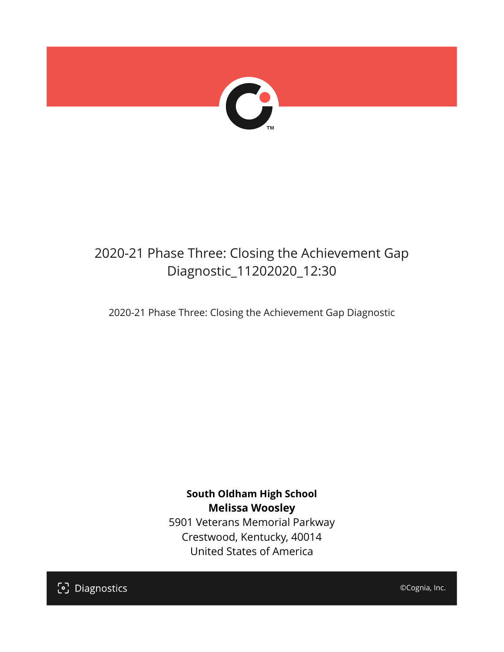

## 2020-21 Phase Three: Closing the Achievement Gap Diagnostic\_11202020\_12:30

2020-21 Phase Three: Closing the Achievement Gap Diagnostic

**South Oldham High School Melissa Woosley** 5901 Veterans Memorial Parkway Crestwood, Kentucky, 40014 United States of America

[၁] Diagnostics

©Cognia, Inc.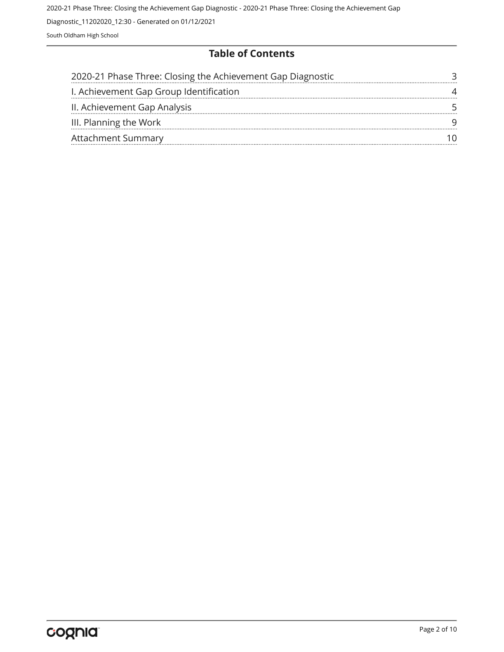#### **Table of Contents**

| 2020-21 Phase Three: Closing the Achievement Gap Diagnostic |  |
|-------------------------------------------------------------|--|
| I. Achievement Gap Group Identification                     |  |
| II. Achievement Gap Analysis                                |  |
| III. Planning the Work                                      |  |
| <b>Attachment Summary</b>                                   |  |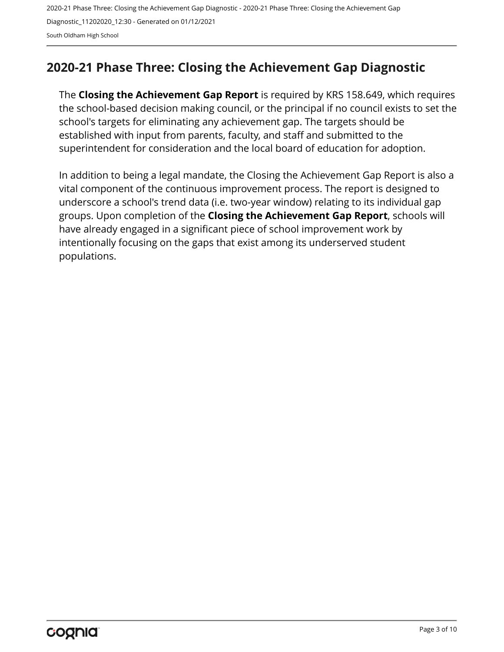## <span id="page-2-0"></span>**2020-21 Phase Three: Closing the Achievement Gap Diagnostic**

The **Closing the Achievement Gap Report** is required by KRS 158.649, which requires the school-based decision making council, or the principal if no council exists to set the school's targets for eliminating any achievement gap. The targets should be established with input from parents, faculty, and staff and submitted to the superintendent for consideration and the local board of education for adoption.

In addition to being a legal mandate, the Closing the Achievement Gap Report is also a vital component of the continuous improvement process. The report is designed to underscore a school's trend data (i.e. two-year window) relating to its individual gap groups. Upon completion of the **Closing the Achievement Gap Report**, schools will have already engaged in a significant piece of school improvement work by intentionally focusing on the gaps that exist among its underserved student populations.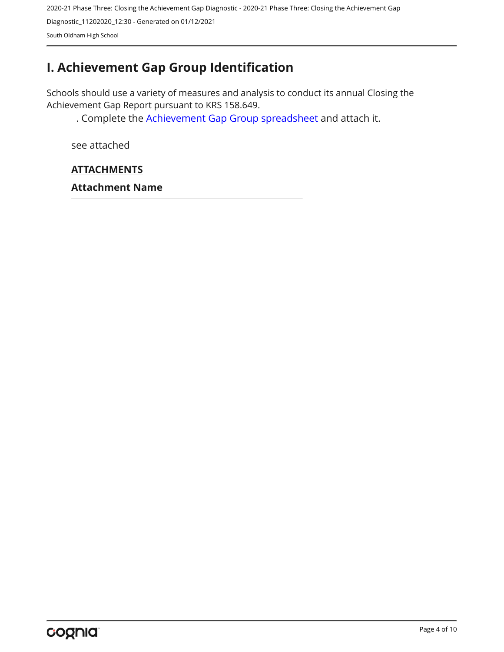## <span id="page-3-0"></span>**I. Achievement Gap Group Identification**

Schools should use a variety of measures and analysis to conduct its annual Closing the Achievement Gap Report pursuant to KRS 158.649.

. Complete the [Achievement Gap Group spreadsheet a](https://drive.google.com/file/d/0B7A6n8V1dmUOWFNKY2dSTTFibjA/view?usp=sharing)nd attach it.

see attached

#### **ATTACHMENTS**

**Attachment Name**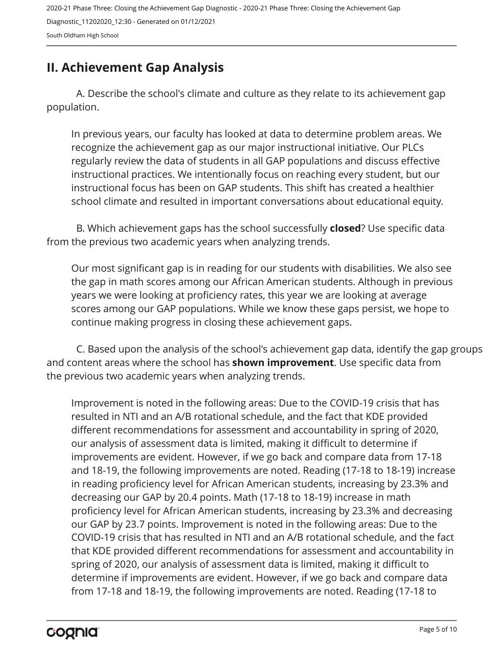## <span id="page-4-0"></span>**II. Achievement Gap Analysis**

A. Describe the school's climate and culture as they relate to its achievement gap population.

In previous years, our faculty has looked at data to determine problem areas. We recognize the achievement gap as our major instructional initiative. Our PLCs regularly review the data of students in all GAP populations and discuss effective instructional practices. We intentionally focus on reaching every student, but our instructional focus has been on GAP students. This shift has created a healthier school climate and resulted in important conversations about educational equity.

B. Which achievement gaps has the school successfully **closed**? Use specific data from the previous two academic years when analyzing trends.

Our most significant gap is in reading for our students with disabilities. We also see the gap in math scores among our African American students. Although in previous years we were looking at proficiency rates, this year we are looking at average scores among our GAP populations. While we know these gaps persist, we hope to continue making progress in closing these achievement gaps.

C. Based upon the analysis of the school's achievement gap data, identify the gap groups and content areas where the school has **shown improvement**. Use specific data from the previous two academic years when analyzing trends.

Improvement is noted in the following areas: Due to the COVID-19 crisis that has resulted in NTI and an A/B rotational schedule, and the fact that KDE provided different recommendations for assessment and accountability in spring of 2020, our analysis of assessment data is limited, making it difficult to determine if improvements are evident. However, if we go back and compare data from 17-18 and 18-19, the following improvements are noted. Reading (17-18 to 18-19) increase in reading proficiency level for African American students, increasing by 23.3% and decreasing our GAP by 20.4 points. Math (17-18 to 18-19) increase in math proficiency level for African American students, increasing by 23.3% and decreasing our GAP by 23.7 points. Improvement is noted in the following areas: Due to the COVID-19 crisis that has resulted in NTI and an A/B rotational schedule, and the fact that KDE provided different recommendations for assessment and accountability in spring of 2020, our analysis of assessment data is limited, making it difficult to determine if improvements are evident. However, if we go back and compare data from 17-18 and 18-19, the following improvements are noted. Reading (17-18 to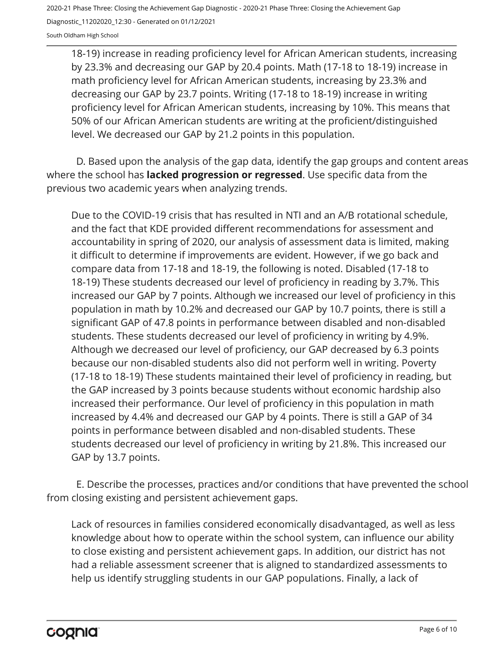18-19) increase in reading proficiency level for African American students, increasing by 23.3% and decreasing our GAP by 20.4 points. Math (17-18 to 18-19) increase in math proficiency level for African American students, increasing by 23.3% and decreasing our GAP by 23.7 points. Writing (17-18 to 18-19) increase in writing proficiency level for African American students, increasing by 10%. This means that 50% of our African American students are writing at the proficient/distinguished level. We decreased our GAP by 21.2 points in this population.

D. Based upon the analysis of the gap data, identify the gap groups and content areas where the school has **lacked progression or regressed**. Use specific data from the previous two academic years when analyzing trends.

Due to the COVID-19 crisis that has resulted in NTI and an A/B rotational schedule, and the fact that KDE provided different recommendations for assessment and accountability in spring of 2020, our analysis of assessment data is limited, making it difficult to determine if improvements are evident. However, if we go back and compare data from 17-18 and 18-19, the following is noted. Disabled (17-18 to 18-19) These students decreased our level of proficiency in reading by 3.7%. This increased our GAP by 7 points. Although we increased our level of proficiency in this population in math by 10.2% and decreased our GAP by 10.7 points, there is still a significant GAP of 47.8 points in performance between disabled and non-disabled students. These students decreased our level of proficiency in writing by 4.9%. Although we decreased our level of proficiency, our GAP decreased by 6.3 points because our non-disabled students also did not perform well in writing. Poverty (17-18 to 18-19) These students maintained their level of proficiency in reading, but the GAP increased by 3 points because students without economic hardship also increased their performance. Our level of proficiency in this population in math increased by 4.4% and decreased our GAP by 4 points. There is still a GAP of 34 points in performance between disabled and non-disabled students. These students decreased our level of proficiency in writing by 21.8%. This increased our GAP by 13.7 points.

E. Describe the processes, practices and/or conditions that have prevented the school from closing existing and persistent achievement gaps.

Lack of resources in families considered economically disadvantaged, as well as less knowledge about how to operate within the school system, can influence our ability to close existing and persistent achievement gaps. In addition, our district has not had a reliable assessment screener that is aligned to standardized assessments to help us identify struggling students in our GAP populations. Finally, a lack of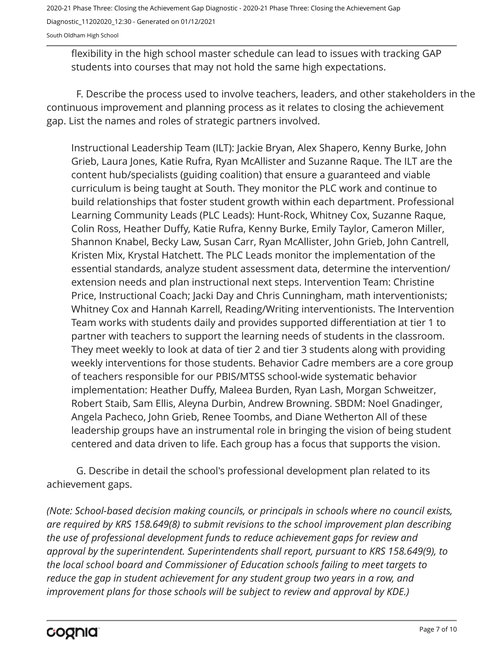flexibility in the high school master schedule can lead to issues with tracking GAP students into courses that may not hold the same high expectations.

F. Describe the process used to involve teachers, leaders, and other stakeholders in the continuous improvement and planning process as it relates to closing the achievement gap. List the names and roles of strategic partners involved.

Instructional Leadership Team (ILT): Jackie Bryan, Alex Shapero, Kenny Burke, John Grieb, Laura Jones, Katie Rufra, Ryan McAllister and Suzanne Raque. The ILT are the content hub/specialists (guiding coalition) that ensure a guaranteed and viable curriculum is being taught at South. They monitor the PLC work and continue to build relationships that foster student growth within each department. Professional Learning Community Leads (PLC Leads): Hunt-Rock, Whitney Cox, Suzanne Raque, Colin Ross, Heather Duffy, Katie Rufra, Kenny Burke, Emily Taylor, Cameron Miller, Shannon Knabel, Becky Law, Susan Carr, Ryan McAllister, John Grieb, John Cantrell, Kristen Mix, Krystal Hatchett. The PLC Leads monitor the implementation of the essential standards, analyze student assessment data, determine the intervention/ extension needs and plan instructional next steps. Intervention Team: Christine Price, Instructional Coach; Jacki Day and Chris Cunningham, math interventionists; Whitney Cox and Hannah Karrell, Reading/Writing interventionists. The Intervention Team works with students daily and provides supported differentiation at tier 1 to partner with teachers to support the learning needs of students in the classroom. They meet weekly to look at data of tier 2 and tier 3 students along with providing weekly interventions for those students. Behavior Cadre members are a core group of teachers responsible for our PBIS/MTSS school-wide systematic behavior implementation: Heather Duffy, Maleea Burden, Ryan Lash, Morgan Schweitzer, Robert Staib, Sam Ellis, Aleyna Durbin, Andrew Browning. SBDM: Noel Gnadinger, Angela Pacheco, John Grieb, Renee Toombs, and Diane Wetherton All of these leadership groups have an instrumental role in bringing the vision of being student centered and data driven to life. Each group has a focus that supports the vision.

G. Describe in detail the school's professional development plan related to its achievement gaps.

*(Note: School-based decision making councils, or principals in schools where no council exists, are required by KRS 158.649(8) to submit revisions to the school improvement plan describing the use of professional development funds to reduce achievement gaps for review and approval by the superintendent. Superintendents shall report, pursuant to KRS 158.649(9), to the local school board and Commissioner of Education schools failing to meet targets to reduce the gap in student achievement for any student group two years in a row, and improvement plans for those schools will be subject to review and approval by KDE.)*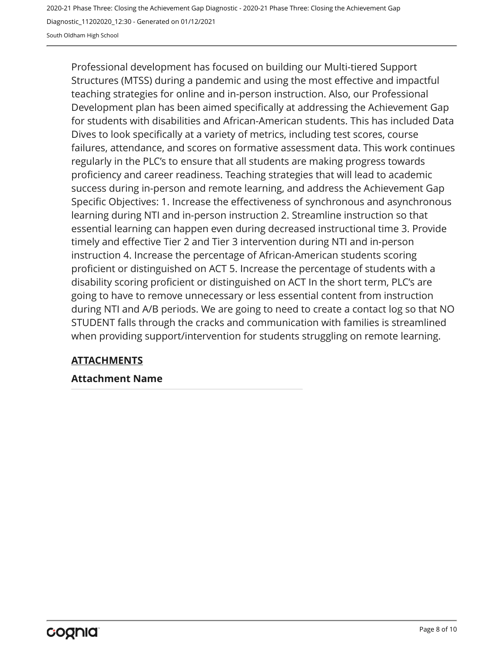Professional development has focused on building our Multi-tiered Support Structures (MTSS) during a pandemic and using the most effective and impactful teaching strategies for online and in-person instruction. Also, our Professional Development plan has been aimed specifically at addressing the Achievement Gap for students with disabilities and African-American students. This has included Data Dives to look specifically at a variety of metrics, including test scores, course failures, attendance, and scores on formative assessment data. This work continues regularly in the PLC's to ensure that all students are making progress towards proficiency and career readiness. Teaching strategies that will lead to academic success during in-person and remote learning, and address the Achievement Gap Specific Objectives: 1. Increase the effectiveness of synchronous and asynchronous learning during NTI and in-person instruction 2. Streamline instruction so that essential learning can happen even during decreased instructional time 3. Provide timely and effective Tier 2 and Tier 3 intervention during NTI and in-person instruction 4. Increase the percentage of African-American students scoring proficient or distinguished on ACT 5. Increase the percentage of students with a disability scoring proficient or distinguished on ACT In the short term, PLC's are going to have to remove unnecessary or less essential content from instruction during NTI and A/B periods. We are going to need to create a contact log so that NO STUDENT falls through the cracks and communication with families is streamlined when providing support/intervention for students struggling on remote learning.

#### **ATTACHMENTS**

#### **Attachment Name**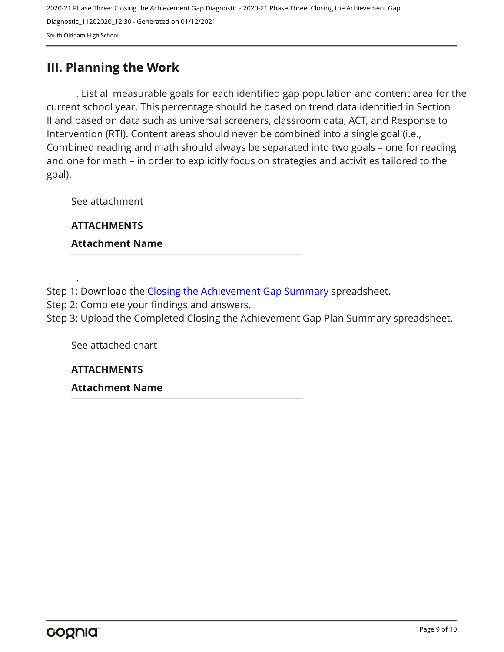### <span id="page-8-0"></span>**III. Planning the Work**

. List all measurable goals for each identified gap population and content area for the current school year. This percentage should be based on trend data identified in Section II and based on data such as universal screeners, classroom data, ACT, and Response to Intervention (RTI). Content areas should never be combined into a single goal (i.e., Combined reading and math should always be separated into two goals – one for reading and one for math – in order to explicitly focus on strategies and activities tailored to the goal).

See attachment

**ATTACHMENTS**

.

**Attachment Name** 

Step 1: Download the [Closing the Achievement Gap Summary](https://drive.google.com/file/d/0B6i22i6omk4ySmUtTHZuSVRFazQ/view) spreadsheet.

Step 2: Complete your findings and answers.

Step 3: Upload the Completed Closing the Achievement Gap Plan Summary spreadsheet.

See attached chart

**ATTACHMENTS**

**Attachment Name**